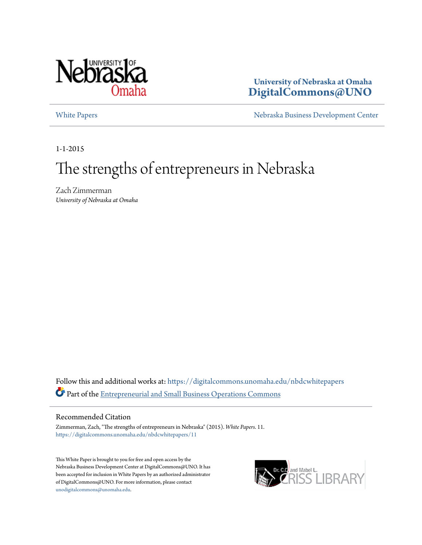

### **University of Nebraska at Omaha [DigitalCommons@UNO](https://digitalcommons.unomaha.edu?utm_source=digitalcommons.unomaha.edu%2Fnbdcwhitepapers%2F11&utm_medium=PDF&utm_campaign=PDFCoverPages)**

[White Papers](https://digitalcommons.unomaha.edu/nbdcwhitepapers?utm_source=digitalcommons.unomaha.edu%2Fnbdcwhitepapers%2F11&utm_medium=PDF&utm_campaign=PDFCoverPages) **[Nebraska Business Development Center](https://digitalcommons.unomaha.edu/nbdc?utm_source=digitalcommons.unomaha.edu%2Fnbdcwhitepapers%2F11&utm_medium=PDF&utm_campaign=PDFCoverPages)** 

1-1-2015

# The strengths of entrepreneurs in Nebraska

Zach Zimmerman *University of Nebraska at Omaha*

Follow this and additional works at: [https://digitalcommons.unomaha.edu/nbdcwhitepapers](https://digitalcommons.unomaha.edu/nbdcwhitepapers?utm_source=digitalcommons.unomaha.edu%2Fnbdcwhitepapers%2F11&utm_medium=PDF&utm_campaign=PDFCoverPages) Part of the [Entrepreneurial and Small Business Operations Commons](http://network.bepress.com/hgg/discipline/630?utm_source=digitalcommons.unomaha.edu%2Fnbdcwhitepapers%2F11&utm_medium=PDF&utm_campaign=PDFCoverPages)

#### Recommended Citation

Zimmerman, Zach, "The strengths of entrepreneurs in Nebraska" (2015). *White Papers*. 11. [https://digitalcommons.unomaha.edu/nbdcwhitepapers/11](https://digitalcommons.unomaha.edu/nbdcwhitepapers/11?utm_source=digitalcommons.unomaha.edu%2Fnbdcwhitepapers%2F11&utm_medium=PDF&utm_campaign=PDFCoverPages)

This White Paper is brought to you for free and open access by the Nebraska Business Development Center at DigitalCommons@UNO. It has been accepted for inclusion in White Papers by an authorized administrator of DigitalCommons@UNO. For more information, please contact [unodigitalcommons@unomaha.edu](mailto:unodigitalcommons@unomaha.edu).

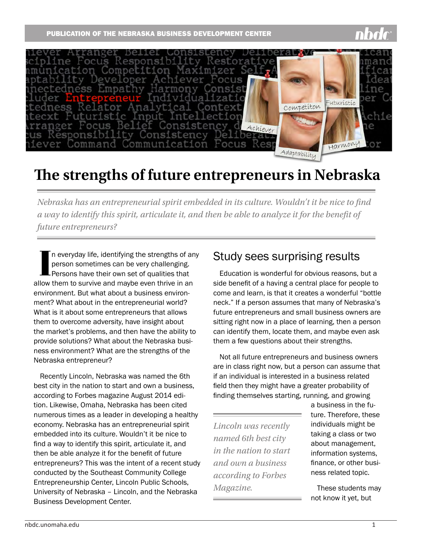

# **The strengths of future entrepreneurs in Nebraska**

*Nebraska has an entrepreneurial spirit embedded in its culture. Wouldn't it be nice to find a way to identify this spirit, articulate it, and then be able to analyze it for the benefit of future entrepreneurs?*

The everyday life, identifying the strengths of an person sometimes can be very challenging.<br>Persons have their own set of qualities that allow them to survive and maybe even thrive in an n everyday life, identifying the strengths of any person sometimes can be very challenging. Persons have their own set of qualities that environment. But what about a business environment? What about in the entrepreneurial world? What is it about some entrepreneurs that allows them to overcome adversity, have insight about the market's problems, and then have the ability to provide solutions? What about the Nebraska business environment? What are the strengths of the Nebraska entrepreneur?

Recently Lincoln, Nebraska was named the 6th best city in the nation to start and own a business, according to Forbes magazine August 2014 edition. Likewise, Omaha, Nebraska has been cited numerous times as a leader in developing a healthy economy. Nebraska has an entrepreneurial spirit embedded into its culture. Wouldn't it be nice to find a way to identify this spirit, articulate it, and then be able analyze it for the benefit of future entrepreneurs? This was the intent of a recent study conducted by the Southeast Community College Entrepreneurship Center, Lincoln Public Schools, University of Nebraska – Lincoln, and the Nebraska Business Development Center.

# Study sees surprising results

Education is wonderful for obvious reasons, but a side benefit of a having a central place for people to come and learn, is that it creates a wonderful "bottle neck." If a person assumes that many of Nebraska's future entrepreneurs and small business owners are sitting right now in a place of learning, then a person can identify them, locate them, and maybe even ask them a few questions about their strengths.

Not all future entrepreneurs and business owners are in class right now, but a person can assume that if an individual is interested in a business related field then they might have a greater probability of finding themselves starting, running, and growing

*Lincoln was recently named 6th best city in the nation to start and own a business according to Forbes Magazine.*

a business in the future. Therefore, these individuals might be taking a class or two about management, information systems, finance, or other business related topic.

These students may not know it yet, but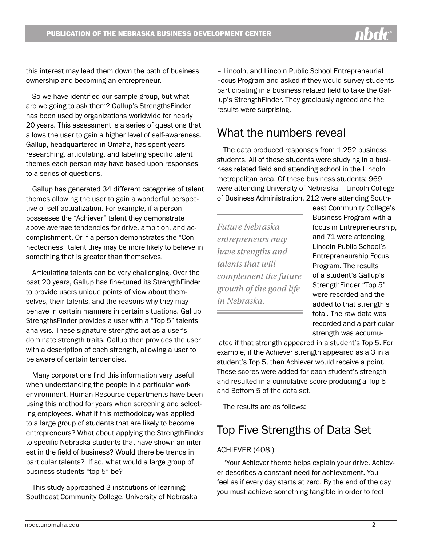this interest may lead them down the path of business ownership and becoming an entrepreneur.

So we have identified our sample group, but what are we going to ask them? Gallup's StrengthsFinder has been used by organizations worldwide for nearly 20 years. This assessment is a series of questions that allows the user to gain a higher level of self-awareness. Gallup, headquartered in Omaha, has spent years researching, articulating, and labeling specific talent themes each person may have based upon responses to a series of questions.

Gallup has generated 34 different categories of talent themes allowing the user to gain a wonderful perspective of self-actualization. For example, if a person possesses the "Achiever" talent they demonstrate above average tendencies for drive, ambition, and accomplishment. Or if a person demonstrates the "Connectedness" talent they may be more likely to believe in something that is greater than themselves.

Articulating talents can be very challenging. Over the past 20 years, Gallup has fine-tuned its StrengthFinder to provide users unique points of view about themselves, their talents, and the reasons why they may behave in certain manners in certain situations. Gallup StrengthsFinder provides a user with a "Top 5" talents analysis. These signature strengths act as a user's dominate strength traits. Gallup then provides the user with a description of each strength, allowing a user to be aware of certain tendencies.

Many corporations find this information very useful when understanding the people in a particular work environment. Human Resource departments have been using this method for years when screening and selecting employees. What if this methodology was applied to a large group of students that are likely to become entrepreneurs? What about applying the StrengthFinder to specific Nebraska students that have shown an interest in the field of business? Would there be trends in particular talents? If so, what would a large group of business students "top 5" be?

This study approached 3 institutions of learning; Southeast Community College, University of Nebraska

– Lincoln, and Lincoln Public School Entrepreneurial Focus Program and asked if they would survey students participating in a business related field to take the Gallup's StrengthFinder. They graciously agreed and the results were surprising.

# What the numbers reveal

The data produced responses from 1,252 business students. All of these students were studying in a business related field and attending school in the Lincoln metropolitan area. Of these business students; 969 were attending University of Nebraska – Lincoln College of Business Administration, 212 were attending South-

*Future Nebraska entrepreneurs may have strengths and talents that will complement the future growth of the good life in Nebraska.* 

east Community College's Business Program with a focus in Entrepreneurship, and 71 were attending Lincoln Public School's Entrepreneurship Focus Program. The results of a student's Gallup's StrengthFinder "Top 5" were recorded and the added to that strength's total. The raw data was recorded and a particular strength was accumu-

lated if that strength appeared in a student's Top 5. For example, if the Achiever strength appeared as a 3 in a student's Top 5, then Achiever would receive a point. These scores were added for each student's strength and resulted in a cumulative score producing a Top 5 and Bottom 5 of the data set.

The results are as follows:

# Top Five Strengths of Data Set

#### ACHIEVER (408 )

"Your Achiever theme helps explain your drive. Achiever describes a constant need for achievement. You feel as if every day starts at zero. By the end of the day you must achieve something tangible in order to feel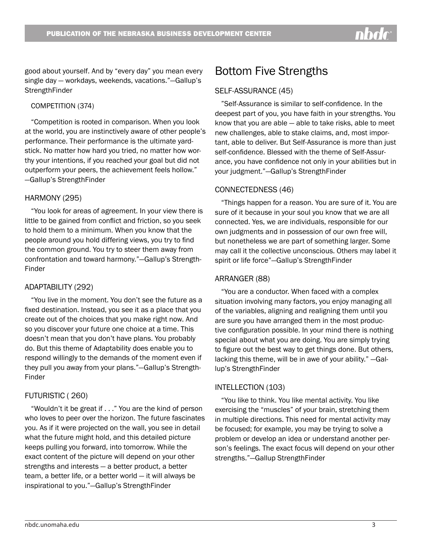good about yourself. And by "every day" you mean every single day — workdays, weekends, vacations."—Gallup's **StrengthFinder** 

#### COMPETITION (374)

"Competition is rooted in comparison. When you look at the world, you are instinctively aware of other people's performance. Their performance is the ultimate yardstick. No matter how hard you tried, no matter how worthy your intentions, if you reached your goal but did not outperform your peers, the achievement feels hollow." —Gallup's StrengthFinder

#### HARMONY (295)

"You look for areas of agreement. In your view there is little to be gained from conflict and friction, so you seek to hold them to a minimum. When you know that the people around you hold differing views, you try to find the common ground. You try to steer them away from confrontation and toward harmony."—Gallup's Strength-Finder

#### ADAPTABILITY (292)

"You live in the moment. You don't see the future as a fixed destination. Instead, you see it as a place that you create out of the choices that you make right now. And so you discover your future one choice at a time. This doesn't mean that you don't have plans. You probably do. But this theme of Adaptability does enable you to respond willingly to the demands of the moment even if they pull you away from your plans."—Gallup's Strength-Finder

#### FUTURISTIC ( 260)

"Wouldn't it be great if . . ." You are the kind of person who loves to peer over the horizon. The future fascinates you. As if it were projected on the wall, you see in detail what the future might hold, and this detailed picture keeps pulling you forward, into tomorrow. While the exact content of the picture will depend on your other strengths and interests — a better product, a better team, a better life, or a better world — it will always be inspirational to you."—Gallup's StrengthFinder

# Bottom Five Strengths

### SELF-ASSURANCE (45)

"Self-Assurance is similar to self-confidence. In the deepest part of you, you have faith in your strengths. You know that you are able — able to take risks, able to meet new challenges, able to stake claims, and, most important, able to deliver. But Self-Assurance is more than just self-confidence. Blessed with the theme of Self-Assurance, you have confidence not only in your abilities but in your judgment."—Gallup's StrengthFinder

#### CONNECTEDNESS (46)

"Things happen for a reason. You are sure of it. You are sure of it because in your soul you know that we are all connected. Yes, we are individuals, responsible for our own judgments and in possession of our own free will, but nonetheless we are part of something larger. Some may call it the collective unconscious. Others may label it spirit or life force"—Gallup's StrengthFinder

#### ARRANGER (88)

"You are a conductor. When faced with a complex situation involving many factors, you enjoy managing all of the variables, aligning and realigning them until you are sure you have arranged them in the most productive configuration possible. In your mind there is nothing special about what you are doing. You are simply trying to figure out the best way to get things done. But others, lacking this theme, will be in awe of your ability." —Gallup's StrengthFinder

#### INTELLECTION (103)

"You like to think. You like mental activity. You like exercising the "muscles" of your brain, stretching them in multiple directions. This need for mental activity may be focused; for example, you may be trying to solve a problem or develop an idea or understand another person's feelings. The exact focus will depend on your other strengths."—Gallup StrengthFinder